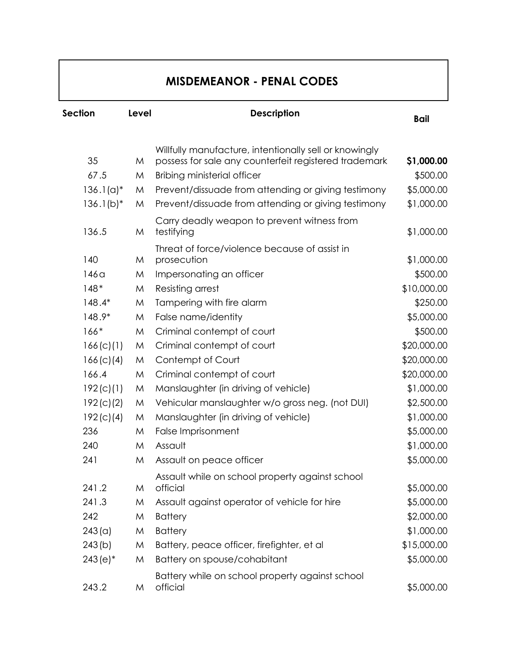## **MISDEMEANOR - PENAL CODES**

| Section      | Level | <b>Description</b>                                                                                              | <b>Bail</b> |  |
|--------------|-------|-----------------------------------------------------------------------------------------------------------------|-------------|--|
|              |       |                                                                                                                 |             |  |
| 35           | M     | Willfully manufacture, intentionally sell or knowingly<br>possess for sale any counterfeit registered trademark | \$1,000.00  |  |
| 67.5         | M     | <b>Bribing ministerial officer</b>                                                                              | \$500.00    |  |
| $136.1(a)^*$ | M     | Prevent/dissuade from attending or giving testimony                                                             | \$5,000.00  |  |
| $136.1(b)*$  | M     | Prevent/dissuade from attending or giving testimony                                                             | \$1,000.00  |  |
| 136.5        | M     | Carry deadly weapon to prevent witness from<br>testifying                                                       | \$1,000.00  |  |
| 140          | M     | Threat of force/violence because of assist in<br>prosecution                                                    | \$1,000.00  |  |
| 146a         | M     | Impersonating an officer                                                                                        | \$500.00    |  |
| $148*$       | M     | Resisting arrest                                                                                                | \$10,000.00 |  |
| 148.4*       | M     | Tampering with fire alarm                                                                                       | \$250.00    |  |
| 148.9*       | M     | False name/identity                                                                                             | \$5,000.00  |  |
| $166*$       | M     | Criminal contempt of court                                                                                      | \$500.00    |  |
| 166(c)(1)    | M     | Criminal contempt of court                                                                                      | \$20,000.00 |  |
| 166(c)(4)    | M     | Contempt of Court                                                                                               | \$20,000.00 |  |
| 166.4        | M     | Criminal contempt of court                                                                                      | \$20,000.00 |  |
| 192(c)(1)    | M     | Manslaughter (in driving of vehicle)                                                                            | \$1,000.00  |  |
| 192(c)(2)    | M     | Vehicular manslaughter w/o gross neg. (not DUI)                                                                 | \$2,500.00  |  |
| 192(c)(4)    | M     | Manslaughter (in driving of vehicle)                                                                            | \$1,000.00  |  |
| 236          | M     | False Imprisonment                                                                                              | \$5,000.00  |  |
| 240          | M     | Assault                                                                                                         | \$1,000.00  |  |
| 241          | M     | Assault on peace officer                                                                                        | \$5,000.00  |  |
| 241.2        | M     | Assault while on school property against school<br>official                                                     | \$5,000.00  |  |
| 241.3        | M     | Assault against operator of vehicle for hire                                                                    | \$5,000.00  |  |
| 242          | M     | <b>Battery</b>                                                                                                  | \$2,000.00  |  |
| 243 (a)      | M     | <b>Battery</b>                                                                                                  | \$1,000.00  |  |
| 243(b)       | M     | Battery, peace officer, firefighter, et al                                                                      | \$15,000.00 |  |
| $243(e)^*$   | M     | Battery on spouse/cohabitant                                                                                    | \$5,000.00  |  |
| 243.2        | M     | Battery while on school property against school<br>official                                                     | \$5,000.00  |  |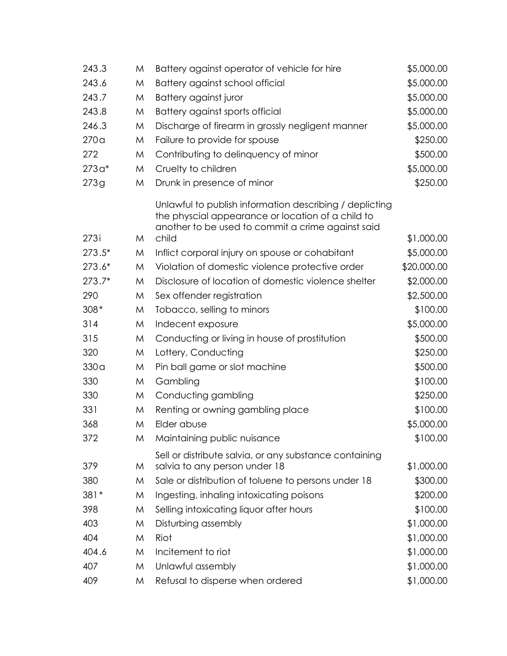| 243.3    | M | Battery against operator of vehicle for hire                                                                                                                      | \$5,000.00  |
|----------|---|-------------------------------------------------------------------------------------------------------------------------------------------------------------------|-------------|
| 243.6    | M | Battery against school official                                                                                                                                   | \$5,000.00  |
| 243.7    | M | Battery against juror                                                                                                                                             | \$5,000.00  |
| 243.8    | M | Battery against sports official                                                                                                                                   | \$5,000.00  |
| 246.3    | M | Discharge of firearm in grossly negligent manner                                                                                                                  | \$5,000.00  |
| 270a     | M | Failure to provide for spouse                                                                                                                                     | \$250.00    |
| 272      | M | Contributing to delinquency of minor                                                                                                                              | \$500.00    |
| $273a*$  | M | Cruelty to children                                                                                                                                               | \$5,000.00  |
| 273g     | M | Drunk in presence of minor                                                                                                                                        | \$250.00    |
|          |   | Unlawful to publish information describing / deplicting<br>the physcial appearance or location of a child to<br>another to be used to commit a crime against said |             |
| 273i     | M | child                                                                                                                                                             | \$1,000.00  |
| $273.5*$ | M | Inflict corporal injury on spouse or cohabitant                                                                                                                   | \$5,000.00  |
| $273.6*$ | M | Violation of domestic violence protective order                                                                                                                   | \$20,000.00 |
| $273.7*$ | M | Disclosure of location of domestic violence shelter                                                                                                               | \$2,000.00  |
| 290      | M | Sex offender registration                                                                                                                                         | \$2,500.00  |
| $308*$   | M | Tobacco, selling to minors                                                                                                                                        | \$100.00    |
| 314      | M | Indecent exposure                                                                                                                                                 | \$5,000.00  |
| 315      | M | Conducting or living in house of prostitution                                                                                                                     | \$500.00    |
| 320      | M | Lottery, Conducting                                                                                                                                               | \$250.00    |
| 330a     | M | Pin ball game or slot machine                                                                                                                                     | \$500.00    |
| 330      | M | Gambling                                                                                                                                                          | \$100.00    |
| 330      | M | Conducting gambling                                                                                                                                               | \$250.00    |
| 331      | M | Renting or owning gambling place                                                                                                                                  | \$100.00    |
| 368      | M | Elder abuse                                                                                                                                                       | \$5,000.00  |
| 372      | M | Maintaining public nuisance                                                                                                                                       | \$100.00    |
| 379      | M | Sell or distribute salvia, or any substance containing<br>salvia to any person under 18                                                                           | \$1,000.00  |
| 380      | M | Sale or distribution of toluene to persons under 18                                                                                                               | \$300.00    |
| $381*$   | M | Ingesting, inhaling intoxicating poisons                                                                                                                          | \$200.00    |
| 398      | M | Selling intoxicating liquor after hours                                                                                                                           | \$100.00    |
| 403      | M | Disturbing assembly                                                                                                                                               | \$1,000.00  |
| 404      | M | Riot                                                                                                                                                              | \$1,000.00  |
| 404.6    | M | Incitement to riot                                                                                                                                                | \$1,000.00  |
| 407      | M | Unlawful assembly                                                                                                                                                 | \$1,000.00  |
| 409      | M | Refusal to disperse when ordered                                                                                                                                  | \$1,000.00  |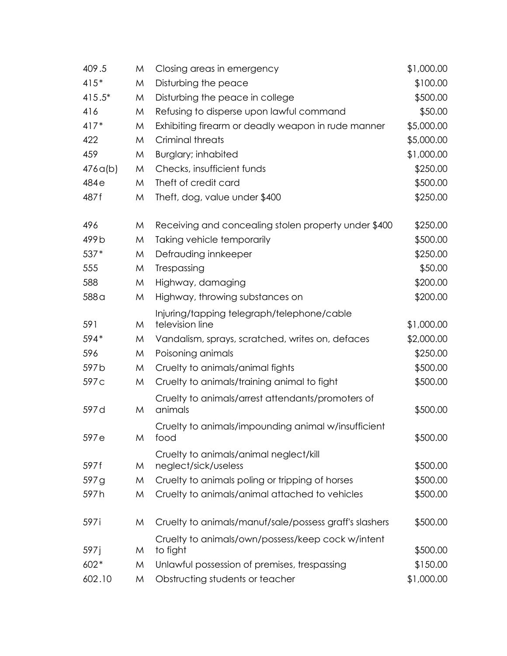| 409.5    | M | Closing areas in emergency                                     | \$1,000.00 |
|----------|---|----------------------------------------------------------------|------------|
| $415*$   | M | Disturbing the peace                                           | \$100.00   |
| $415.5*$ | M | Disturbing the peace in college                                | \$500.00   |
| 416      | M | Refusing to disperse upon lawful command                       | \$50.00    |
| $417*$   | M | Exhibiting firearm or deadly weapon in rude manner             | \$5,000.00 |
| 422      | M | <b>Criminal threats</b>                                        | \$5,000.00 |
| 459      | M | <b>Burglary; inhabited</b>                                     | \$1,000.00 |
| 476q(b)  | M | Checks, insufficient funds                                     | \$250.00   |
| 484e     | M | Theft of credit card                                           | \$500.00   |
| 487f     | M | Theft, dog, value under \$400                                  | \$250.00   |
| 496      | M | Receiving and concealing stolen property under \$400           | \$250.00   |
| 499b     | M | Taking vehicle temporarily                                     | \$500.00   |
| 537*     | M | Defrauding innkeeper                                           | \$250.00   |
| 555      | M | Trespassing                                                    | \$50.00    |
| 588      | M | Highway, damaging                                              | \$200.00   |
| 588 a    | M | Highway, throwing substances on                                | \$200.00   |
| 591      | M | Injuring/tapping telegraph/telephone/cable<br>television line  | \$1,000.00 |
| 594*     | M | Vandalism, sprays, scratched, writes on, defaces               | \$2,000.00 |
| 596      | M | Poisoning animals                                              | \$250.00   |
| 597b     | M | Cruelty to animals/animal fights                               | \$500.00   |
| 597c     | M | Cruelty to animals/training animal to fight                    | \$500.00   |
|          |   |                                                                |            |
| 597 d    | M | Cruelty to animals/arrest attendants/promoters of<br>animals   | \$500.00   |
|          |   | Cruelty to animals/impounding animal w/insufficient            |            |
| 597e     | M | tood                                                           | \$500.00   |
| 597 f    | M | Cruelty to animals/animal neglect/kill<br>neglect/sick/useless | \$500.00   |
| 597g     | M | Cruelty to animals poling or tripping of horses                | \$500.00   |
| 597h     | M | Cruelty to animals/animal attached to vehicles                 | \$500.00   |
|          |   |                                                                |            |
| 597i     | M | Cruelty to animals/manuf/sale/possess graff's slashers         | \$500.00   |
|          |   | Cruelty to animals/own/possess/keep cock w/intent              |            |
| 597 j    | M | to fight                                                       | \$500.00   |
| $602*$   | M | Unlawful possession of premises, trespassing                   | \$150.00   |
| 602.10   | M | Obstructing students or teacher                                | \$1,000.00 |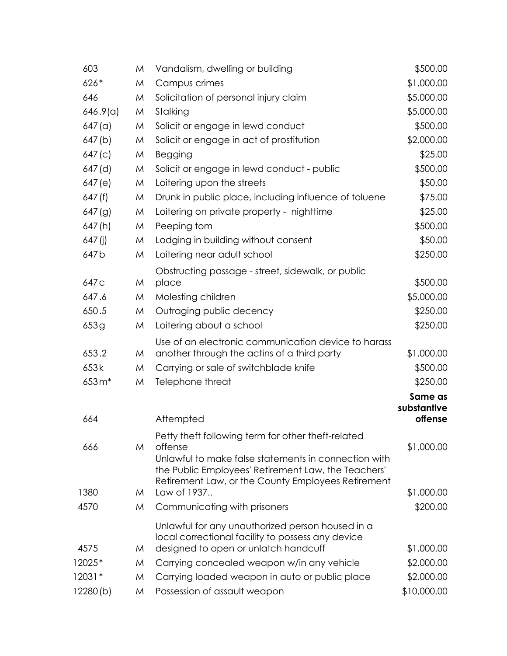| 603              | M | Vandalism, dwelling or building                                                                           | \$500.00               |
|------------------|---|-----------------------------------------------------------------------------------------------------------|------------------------|
| $626*$           | M | Campus crimes                                                                                             | \$1,000.00             |
| 646              | M | Solicitation of personal injury claim                                                                     | \$5,000.00             |
| 646.9(a)         | M | Stalking                                                                                                  | \$5,000.00             |
| 647 (a)          | M | Solicit or engage in lewd conduct                                                                         | \$500.00               |
| 647(b)           | M | Solicit or engage in act of prostitution                                                                  | \$2,000.00             |
| 647(c)           | M | Begging                                                                                                   | \$25.00                |
| 647 (d)          | M | Solicit or engage in lewd conduct - public                                                                | \$500.00               |
| 647(e)           | M | Loitering upon the streets                                                                                | \$50.00                |
| 647(f)           | M | Drunk in public place, including influence of toluene                                                     | \$75.00                |
| 647(g)           | M | Loitering on private property - nighttime                                                                 | \$25.00                |
| 647(h)           | M | Peeping tom                                                                                               | \$500.00               |
| $647$ (j)        | M | Lodging in building without consent                                                                       | \$50.00                |
| 647 <sub>b</sub> | M | Loitering near adult school                                                                               | \$250.00               |
|                  |   | Obstructing passage - street, sidewalk, or public                                                         |                        |
| 647 <sub>C</sub> | M | place                                                                                                     | \$500.00               |
| 647.6            | M | Molesting children                                                                                        | \$5,000.00             |
| 650.5            | M | Outraging public decency                                                                                  | \$250.00               |
| 653g             | M | Loitering about a school                                                                                  | \$250.00               |
|                  |   | Use of an electronic communication device to harass                                                       |                        |
| 653.2            | M | another through the actins of a third party                                                               | \$1,000.00             |
| 653k             | M | Carrying or sale of switchblade knife                                                                     | \$500.00               |
| 653m*            | M | Telephone threat                                                                                          | \$250.00               |
|                  |   |                                                                                                           | Same as<br>substantive |
| 664              |   | Attempted                                                                                                 | offense                |
|                  |   | Petty theft following term for other theft-related                                                        |                        |
| 666              | M | offense                                                                                                   | \$1,000.00             |
|                  |   | Unlawful to make false statements in connection with                                                      |                        |
|                  |   | the Public Employees' Retirement Law, the Teachers'<br>Retirement Law, or the County Employees Retirement |                        |
| 1380             | M | Law of 1937                                                                                               | \$1,000.00             |
| 4570             | M | Communicating with prisoners                                                                              | \$200.00               |
|                  |   |                                                                                                           |                        |
|                  |   | Unlawful for any unauthorized person housed in a<br>local correctional facility to possess any device     |                        |
| 4575             | M | designed to open or unlatch handcuff                                                                      | \$1,000.00             |
| 12025*           | M | Carrying concealed weapon w/in any vehicle                                                                | \$2,000.00             |
| 12031*           | M | Carrying loaded weapon in auto or public place                                                            | \$2,000.00             |
| 12280(b)         | M | Possession of assault weapon                                                                              | \$10,000.00            |